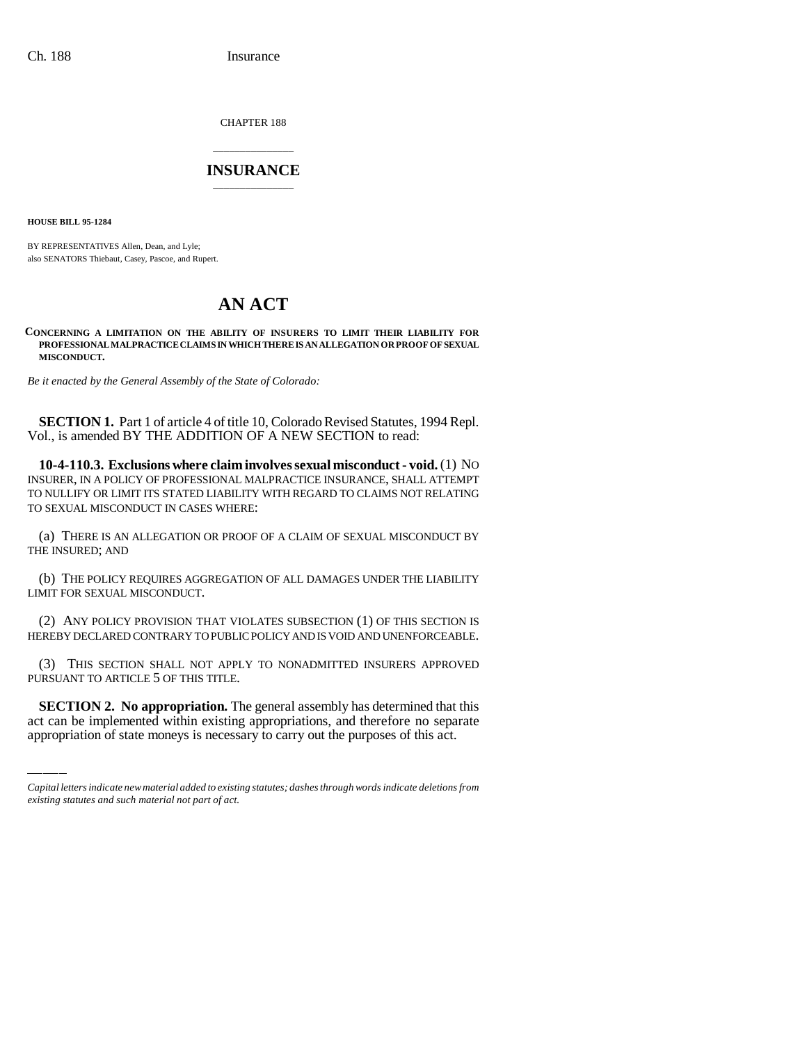CHAPTER 188

## \_\_\_\_\_\_\_\_\_\_\_\_\_\_\_ **INSURANCE** \_\_\_\_\_\_\_\_\_\_\_\_\_\_\_

**HOUSE BILL 95-1284**

BY REPRESENTATIVES Allen, Dean, and Lyle; also SENATORS Thiebaut, Casey, Pascoe, and Rupert.

## **AN ACT**

**CONCERNING A LIMITATION ON THE ABILITY OF INSURERS TO LIMIT THEIR LIABILITY FOR PROFESSIONAL MALPRACTICE CLAIMS IN WHICH THERE IS AN ALLEGATION OR PROOF OF SEXUAL MISCONDUCT.**

*Be it enacted by the General Assembly of the State of Colorado:*

**SECTION 1.** Part 1 of article 4 of title 10, Colorado Revised Statutes, 1994 Repl. Vol., is amended BY THE ADDITION OF A NEW SECTION to read:

**10-4-110.3. Exclusions where claim involves sexual misconduct - void.** (1) NO INSURER, IN A POLICY OF PROFESSIONAL MALPRACTICE INSURANCE, SHALL ATTEMPT TO NULLIFY OR LIMIT ITS STATED LIABILITY WITH REGARD TO CLAIMS NOT RELATING TO SEXUAL MISCONDUCT IN CASES WHERE:

(a) THERE IS AN ALLEGATION OR PROOF OF A CLAIM OF SEXUAL MISCONDUCT BY THE INSURED; AND

(b) THE POLICY REQUIRES AGGREGATION OF ALL DAMAGES UNDER THE LIABILITY LIMIT FOR SEXUAL MISCONDUCT.

(2) ANY POLICY PROVISION THAT VIOLATES SUBSECTION (1) OF THIS SECTION IS HEREBY DECLARED CONTRARY TO PUBLIC POLICY AND IS VOID AND UNENFORCEABLE.

PURSUANT TO ARTICLE 5 OF THIS TITLE. (3) THIS SECTION SHALL NOT APPLY TO NONADMITTED INSURERS APPROVED

**SECTION 2. No appropriation.** The general assembly has determined that this act can be implemented within existing appropriations, and therefore no separate appropriation of state moneys is necessary to carry out the purposes of this act.

*Capital letters indicate new material added to existing statutes; dashes through words indicate deletions from existing statutes and such material not part of act.*